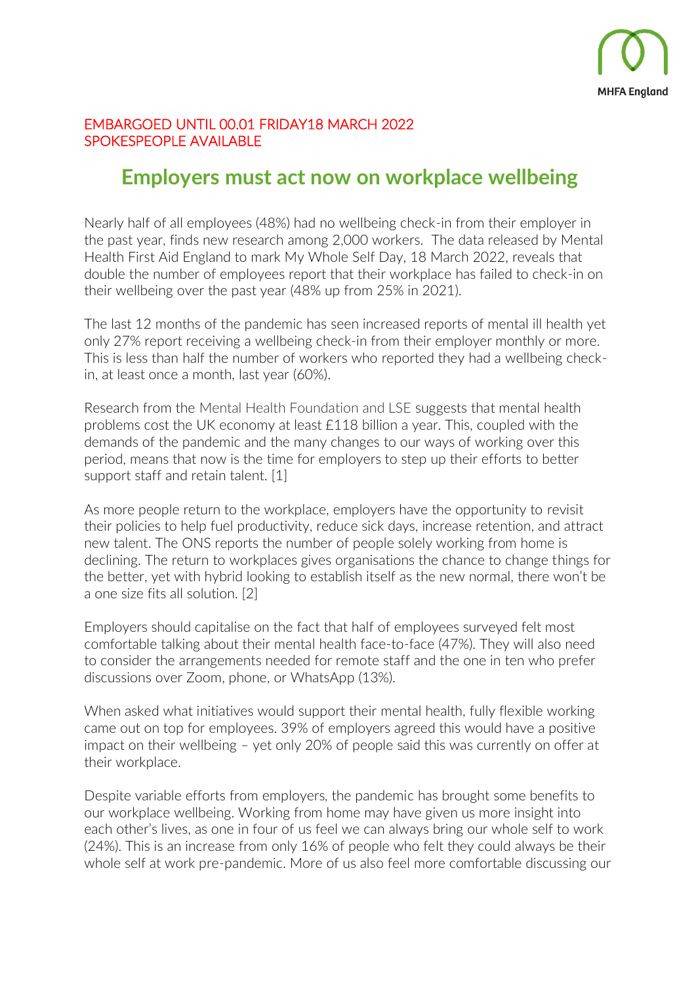

#### EMBARGOED UNTIL 00.01 FRIDAY18 MARCH 2022 SPOKESPEOPLE AVAILABLE

# **Employers must act now on workplace wellbeing**

Nearly half of all employees (48%) had no wellbeing check-in from their employer in the past year, finds new research among 2,000 workers. The data released by Mental Health First Aid England to mark My Whole Self Day, 18 March 2022, reveals that double the number of employees report that their workplace has failed to check-in on their wellbeing over the past year (48% up from 25% in 2021).

The last 12 months of the pandemic has seen increased reports of mental ill health yet only 27% report receiving a wellbeing check-in from their employer monthly or more. This is less than half the number of workers who reported they had a wellbeing checkin, at least once a month, last year (60%).

Research from the Mental Health Foundation and LSE suggests that mental health problems cost the UK economy at least £118 billion a year. This, coupled with the demands of the pandemic and the many changes to our ways of working over this period, means that now is the time for employers to step up their efforts to better support staff and retain talent. [1]

As more people return to the workplace, employers have the opportunity to revisit their policies to help fuel productivity, reduce sick days, increase retention, and attract new talent. The ONS reports the number of people solely working from home is declining. The return to workplaces gives organisations the chance to change things for the better, yet with hybrid looking to establish itself as the new normal, there won't be a one size fits all solution. [2]

Employers should capitalise on the fact that half of employees surveyed felt most comfortable talking about their mental health face-to-face (47%). They will also need to consider the arrangements needed for remote staff and the one in ten who prefer discussions over Zoom, phone, or WhatsApp (13%).

When asked what initiatives would support their mental health, fully flexible working came out on top for employees. 39% of employers agreed this would have a positive impact on their wellbeing – yet only 20% of people said this was currently on offer at their workplace.

Despite variable efforts from employers, the pandemic has brought some benefits to our workplace wellbeing. Working from home may have given us more insight into each other's lives, as one in four of us feel we can always bring our whole self to work (24%). This is an increase from only 16% of people who felt they could always be their whole self at work pre-pandemic. More of us also feel more comfortable discussing our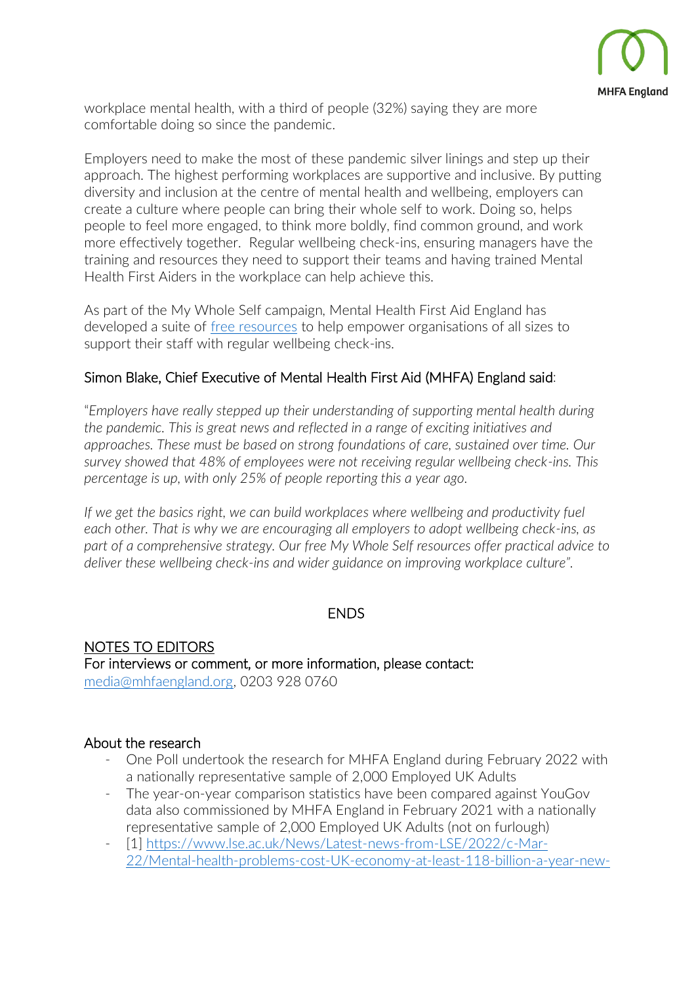

workplace mental health, with a third of people (32%) saying they are more comfortable doing so since the pandemic.

Employers need to make the most of these pandemic silver linings and step up their approach. The highest performing workplaces are supportive and inclusive. By putting diversity and inclusion at the centre of mental health and wellbeing, employers can create a culture where people can bring their whole self to work. Doing so, helps people to feel more engaged, to think more boldly, find common ground, and work more effectively together. Regular wellbeing check-ins, ensuring managers have the training and resources they need to support their teams and having trained Mental Health First Aiders in the workplace can help achieve this.

As part of the My Whole Self campaign, Mental Health First Aid England has developed a suite of [free resources](https://mhfaengland.org/my-whole-self/) to help empower organisations of all sizes to support their staff with regular wellbeing check-ins.

#### Simon Blake, Chief Executive of Mental Health First Aid (MHFA) England said:

"*Employers have really stepped up their understanding of supporting mental health during the pandemic. This is great news and reflected in a range of exciting initiatives and approaches. These must be based on strong foundations of care, sustained over time. Our survey showed that 48% of employees were not receiving regular wellbeing check-ins. This percentage is up, with only 25% of people reporting this a year ago.*

If we get the basics right, we can build workplaces where wellbeing and productivity fuel *each other. That is why we are encouraging all employers to adopt wellbeing check-ins, as part of a comprehensive strategy. Our free My Whole Self resources offer practical advice to deliver these wellbeing check-ins and wider guidance on improving workplace culture".*

#### ENDS

NOTES TO EDITORS For interviews or comment, or more information, please contact: [media@mhfaengland.org,](mailto:media@mhfaengland.org) 0203 928 0760

#### About the research

- One Poll undertook the research for MHFA England during February 2022 with a nationally representative sample of 2,000 Employed UK Adults
- The year-on-year comparison statistics have been compared against YouGov data also commissioned by MHFA England in February 2021 with a nationally representative sample of 2,000 Employed UK Adults (not on furlough)
- [1] [https://www.lse.ac.uk/News/Latest-news-from-LSE/2022/c-Mar-](https://www.lse.ac.uk/News/Latest-news-from-LSE/2022/c-Mar-22/Mental-health-problems-cost-UK-economy-at-least-118-billion-a-year-new-research#:~:text=Mental%20health%20problems%20cost%20the,cent%20of%20the%20UK)[22/Mental-health-problems-cost-UK-economy-at-least-118-billion-a-year-new-](https://www.lse.ac.uk/News/Latest-news-from-LSE/2022/c-Mar-22/Mental-health-problems-cost-UK-economy-at-least-118-billion-a-year-new-research#:~:text=Mental%20health%20problems%20cost%20the,cent%20of%20the%20UK)